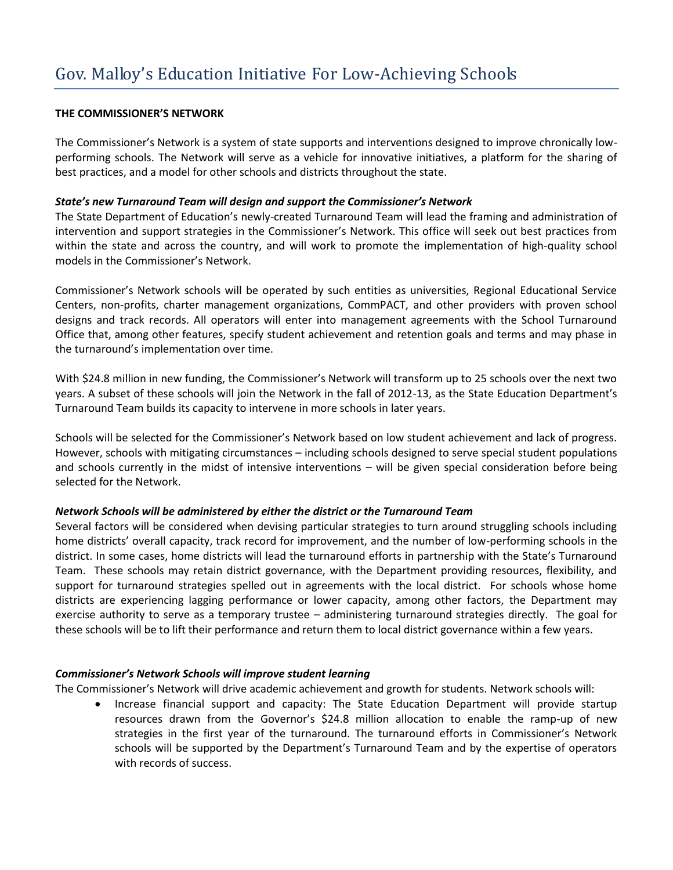### **THE COMMISSIONER'S NETWORK**

The Commissioner's Network is a system of state supports and interventions designed to improve chronically lowperforming schools. The Network will serve as a vehicle for innovative initiatives, a platform for the sharing of best practices, and a model for other schools and districts throughout the state.

# *State's new Turnaround Team will design and support the Commissioner's Network*

The State Department of Education's newly-created Turnaround Team will lead the framing and administration of intervention and support strategies in the Commissioner's Network. This office will seek out best practices from within the state and across the country, and will work to promote the implementation of high-quality school models in the Commissioner's Network.

Commissioner's Network schools will be operated by such entities as universities, Regional Educational Service Centers, non-profits, charter management organizations, CommPACT, and other providers with proven school designs and track records. All operators will enter into management agreements with the School Turnaround Office that, among other features, specify student achievement and retention goals and terms and may phase in the turnaround's implementation over time.

With \$24.8 million in new funding, the Commissioner's Network will transform up to 25 schools over the next two years. A subset of these schools will join the Network in the fall of 2012-13, as the State Education Department's Turnaround Team builds its capacity to intervene in more schools in later years.

Schools will be selected for the Commissioner's Network based on low student achievement and lack of progress. However, schools with mitigating circumstances – including schools designed to serve special student populations and schools currently in the midst of intensive interventions – will be given special consideration before being selected for the Network.

# *Network Schools will be administered by either the district or the Turnaround Team*

Several factors will be considered when devising particular strategies to turn around struggling schools including home districts' overall capacity, track record for improvement, and the number of low-performing schools in the district. In some cases, home districts will lead the turnaround efforts in partnership with the State's Turnaround Team. These schools may retain district governance, with the Department providing resources, flexibility, and support for turnaround strategies spelled out in agreements with the local district. For schools whose home districts are experiencing lagging performance or lower capacity, among other factors, the Department may exercise authority to serve as a temporary trustee – administering turnaround strategies directly. The goal for these schools will be to lift their performance and return them to local district governance within a few years.

# *Commissioner's Network Schools will improve student learning*

The Commissioner's Network will drive academic achievement and growth for students. Network schools will:

 Increase financial support and capacity: The State Education Department will provide startup resources drawn from the Governor's \$24.8 million allocation to enable the ramp-up of new strategies in the first year of the turnaround. The turnaround efforts in Commissioner's Network schools will be supported by the Department's Turnaround Team and by the expertise of operators with records of success.